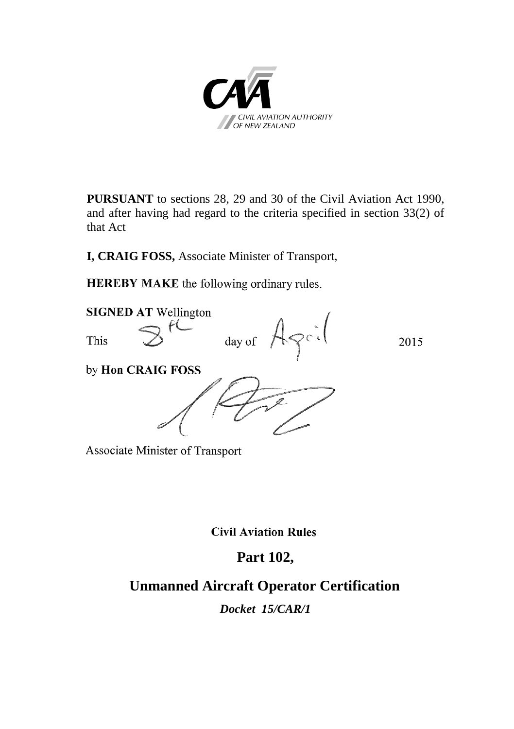

**PURSUANT** to sections 28, 29 and 30 of the Civil Aviation Act 1990, and after having had regard to the criteria specified in section 33(2) of that Act

**I, CRAIG FOSS,** Associate Minister of Transport,

**HEREBY MAKE** the following ordinary rules.



Associate Minister of Transport

**Civil Aviation Rules** 

## **Part 102,**

## **Unmanned Aircraft Operator Certification**

*Docket 15/CAR/1*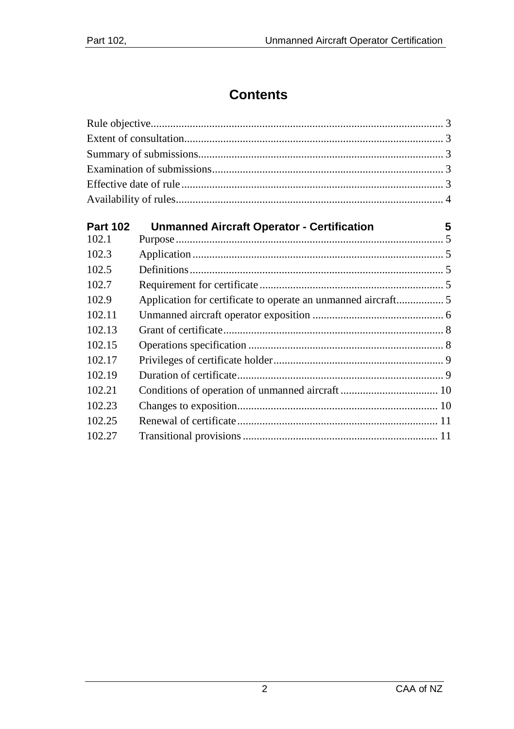# **Contents**

| <b>Unmanned Aircraft Operator - Certification</b><br>5<br>Application for certificate to operate an unmanned aircraft 5 |
|-------------------------------------------------------------------------------------------------------------------------|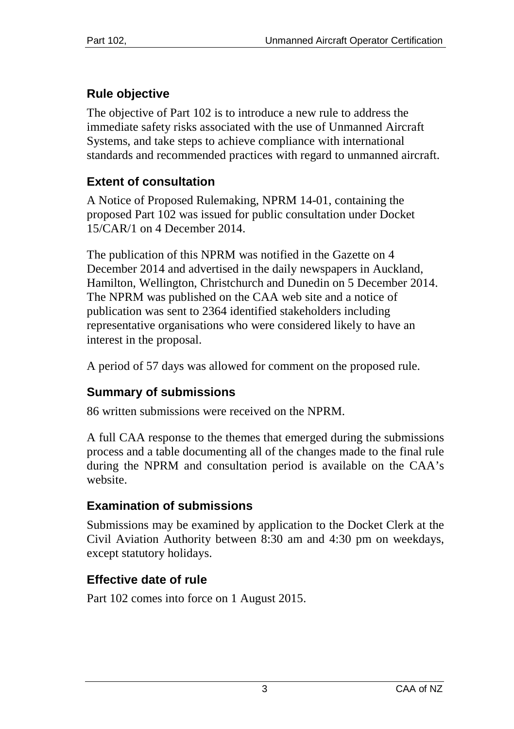# <span id="page-2-0"></span>**Rule objective**

The objective of Part 102 is to introduce a new rule to address the immediate safety risks associated with the use of Unmanned Aircraft Systems, and take steps to achieve compliance with international standards and recommended practices with regard to unmanned aircraft.

## <span id="page-2-1"></span>**Extent of consultation**

A Notice of Proposed Rulemaking, NPRM 14-01, containing the proposed Part 102 was issued for public consultation under Docket 15/CAR/1 on 4 December 2014.

The publication of this NPRM was notified in the Gazette on 4 December 2014 and advertised in the daily newspapers in Auckland, Hamilton, Wellington, Christchurch and Dunedin on 5 December 2014. The NPRM was published on the CAA web site and a notice of publication was sent to 2364 identified stakeholders including representative organisations who were considered likely to have an interest in the proposal.

A period of 57 days was allowed for comment on the proposed rule.

## <span id="page-2-2"></span>**Summary of submissions**

86 written submissions were received on the NPRM.

A full CAA response to the themes that emerged during the submissions process and a table documenting all of the changes made to the final rule during the NPRM and consultation period is available on the CAA's website.

## <span id="page-2-3"></span>**Examination of submissions**

Submissions may be examined by application to the Docket Clerk at the Civil Aviation Authority between 8:30 am and 4:30 pm on weekdays, except statutory holidays.

# <span id="page-2-4"></span>**Effective date of rule**

Part 102 comes into force on 1 August 2015.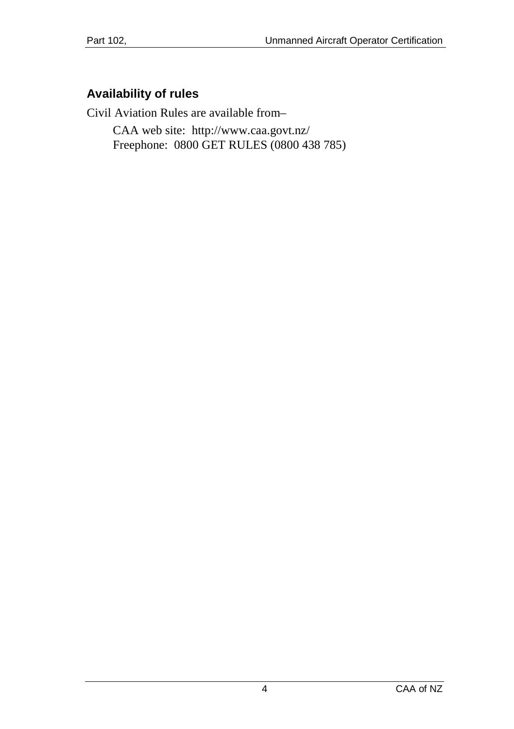### <span id="page-3-0"></span>**Availability of rules**

Civil Aviation Rules are available from–

CAA web site:<http://www.caa.govt.nz/> Freephone: 0800 GET RULES (0800 438 785)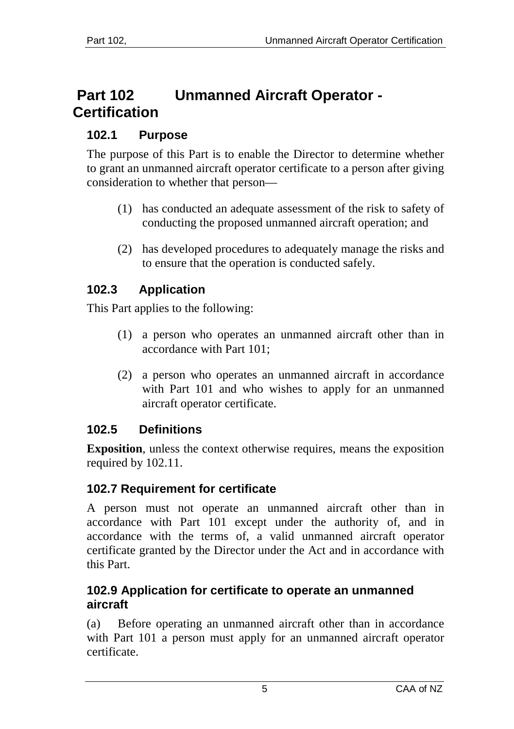# <span id="page-4-0"></span>**Part 102 Unmanned Aircraft Operator - Certification**

## <span id="page-4-1"></span>**102.1 Purpose**

The purpose of this Part is to enable the Director to determine whether to grant an unmanned aircraft operator certificate to a person after giving consideration to whether that person—

- (1) has conducted an adequate assessment of the risk to safety of conducting the proposed unmanned aircraft operation; and
- (2) has developed procedures to adequately manage the risks and to ensure that the operation is conducted safely.

## <span id="page-4-2"></span>**102.3 Application**

This Part applies to the following:

- (1) a person who operates an unmanned aircraft other than in accordance with Part 101;
- (2) a person who operates an unmanned aircraft in accordance with Part 101 and who wishes to apply for an unmanned aircraft operator certificate.

## <span id="page-4-3"></span>**102.5 Definitions**

**Exposition**, unless the context otherwise requires, means the exposition required by 102.11.

## <span id="page-4-4"></span>**102.7 Requirement for certificate**

A person must not operate an unmanned aircraft other than in accordance with Part 101 except under the authority of, and in accordance with the terms of, a valid unmanned aircraft operator certificate granted by the Director under the Act and in accordance with this Part.

#### <span id="page-4-5"></span>**102.9 Application for certificate to operate an unmanned aircraft**

(a) Before operating an unmanned aircraft other than in accordance with Part 101 a person must apply for an unmanned aircraft operator certificate.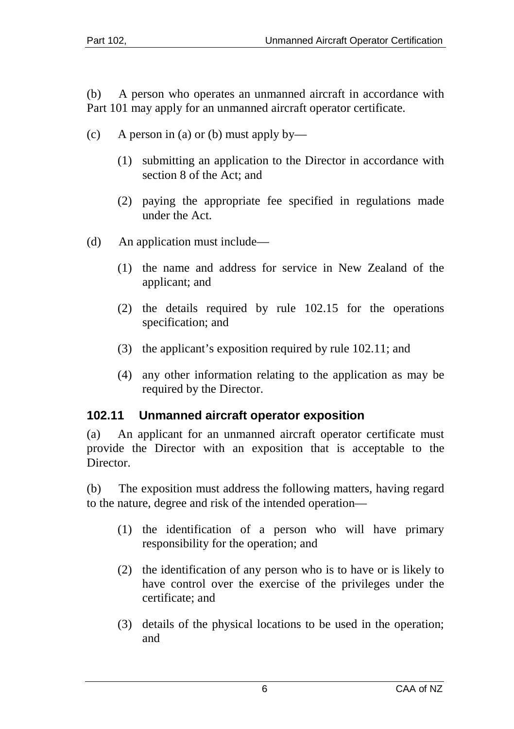(b) A person who operates an unmanned aircraft in accordance with Part 101 may apply for an unmanned aircraft operator certificate.

- (c) A person in (a) or (b) must apply by—
	- (1) submitting an application to the Director in accordance with section 8 of the Act; and
	- (2) paying the appropriate fee specified in regulations made under the Act.
- (d) An application must include—
	- (1) the name and address for service in New Zealand of the applicant; and
	- (2) the details required by rule 102.15 for the operations specification; and
	- (3) the applicant's exposition required by rule 102.11; and
	- (4) any other information relating to the application as may be required by the Director.

#### <span id="page-5-0"></span>**102.11 Unmanned aircraft operator exposition**

(a) An applicant for an unmanned aircraft operator certificate must provide the Director with an exposition that is acceptable to the **Director** 

(b) The exposition must address the following matters, having regard to the nature, degree and risk of the intended operation—

- (1) the identification of a person who will have primary responsibility for the operation; and
- (2) the identification of any person who is to have or is likely to have control over the exercise of the privileges under the certificate; and
- (3) details of the physical locations to be used in the operation; and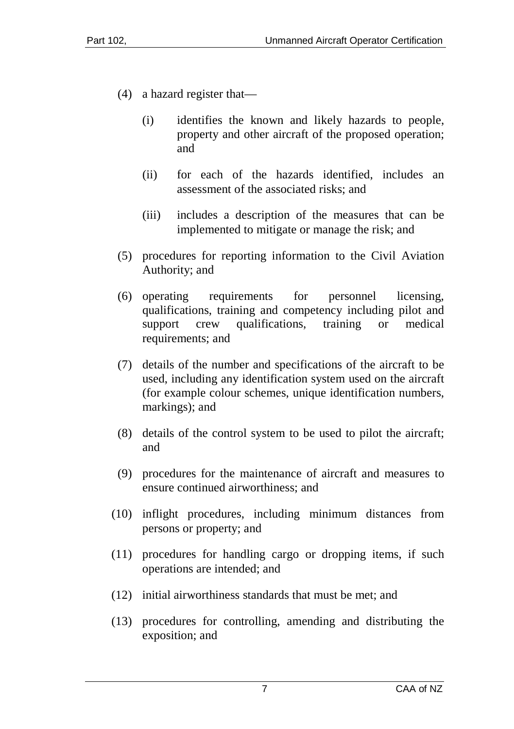- (4) a hazard register that—
	- (i) identifies the known and likely hazards to people, property and other aircraft of the proposed operation; and
	- (ii) for each of the hazards identified, includes an assessment of the associated risks; and
	- (iii) includes a description of the measures that can be implemented to mitigate or manage the risk; and
- (5) procedures for reporting information to the Civil Aviation Authority; and
- (6) operating requirements for personnel licensing, qualifications, training and competency including pilot and support crew qualifications, training or medical requirements; and
- (7) details of the number and specifications of the aircraft to be used, including any identification system used on the aircraft (for example colour schemes, unique identification numbers, markings); and
- (8) details of the control system to be used to pilot the aircraft; and
- (9) procedures for the maintenance of aircraft and measures to ensure continued airworthiness; and
- (10) inflight procedures, including minimum distances from persons or property; and
- (11) procedures for handling cargo or dropping items, if such operations are intended; and
- (12) initial airworthiness standards that must be met; and
- (13) procedures for controlling, amending and distributing the exposition; and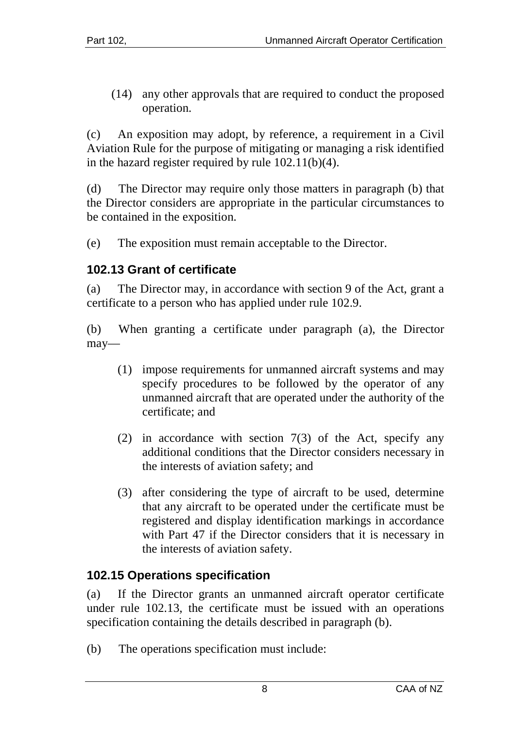(14) any other approvals that are required to conduct the proposed operation.

(c) An exposition may adopt, by reference, a requirement in a Civil Aviation Rule for the purpose of mitigating or managing a risk identified in the hazard register required by rule 102.11(b)(4).

(d) The Director may require only those matters in paragraph (b) that the Director considers are appropriate in the particular circumstances to be contained in the exposition.

(e) The exposition must remain acceptable to the Director.

### <span id="page-7-0"></span>**102.13 Grant of certificate**

(a) The Director may, in accordance with section 9 of the Act, grant a certificate to a person who has applied under rule 102.9.

(b) When granting a certificate under paragraph (a), the Director may—

- (1) impose requirements for unmanned aircraft systems and may specify procedures to be followed by the operator of any unmanned aircraft that are operated under the authority of the certificate; and
- (2) in accordance with section 7(3) of the Act, specify any additional conditions that the Director considers necessary in the interests of aviation safety; and
- (3) after considering the type of aircraft to be used, determine that any aircraft to be operated under the certificate must be registered and display identification markings in accordance with Part 47 if the Director considers that it is necessary in the interests of aviation safety.

#### <span id="page-7-1"></span>**102.15 Operations specification**

(a) If the Director grants an unmanned aircraft operator certificate under rule 102.13, the certificate must be issued with an operations specification containing the details described in paragraph (b).

(b) The operations specification must include: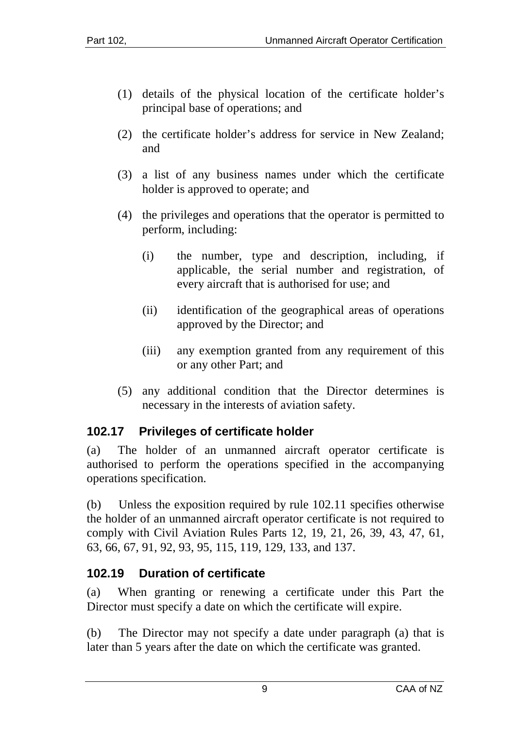- (1) details of the physical location of the certificate holder's principal base of operations; and
- (2) the certificate holder's address for service in New Zealand; and
- (3) a list of any business names under which the certificate holder is approved to operate; and
- (4) the privileges and operations that the operator is permitted to perform, including:
	- (i) the number, type and description, including, if applicable, the serial number and registration, of every aircraft that is authorised for use; and
	- (ii) identification of the geographical areas of operations approved by the Director; and
	- (iii) any exemption granted from any requirement of this or any other Part; and
- (5) any additional condition that the Director determines is necessary in the interests of aviation safety.

#### <span id="page-8-0"></span>**102.17 Privileges of certificate holder**

(a) The holder of an unmanned aircraft operator certificate is authorised to perform the operations specified in the accompanying operations specification.

(b) Unless the exposition required by rule 102.11 specifies otherwise the holder of an unmanned aircraft operator certificate is not required to comply with Civil Aviation Rules Parts 12, 19, 21, 26, 39, 43, 47, 61, 63, 66, 67, 91, 92, 93, 95, 115, 119, 129, 133, and 137.

#### <span id="page-8-1"></span>**102.19 Duration of certificate**

(a) When granting or renewing a certificate under this Part the Director must specify a date on which the certificate will expire.

(b) The Director may not specify a date under paragraph (a) that is later than 5 years after the date on which the certificate was granted.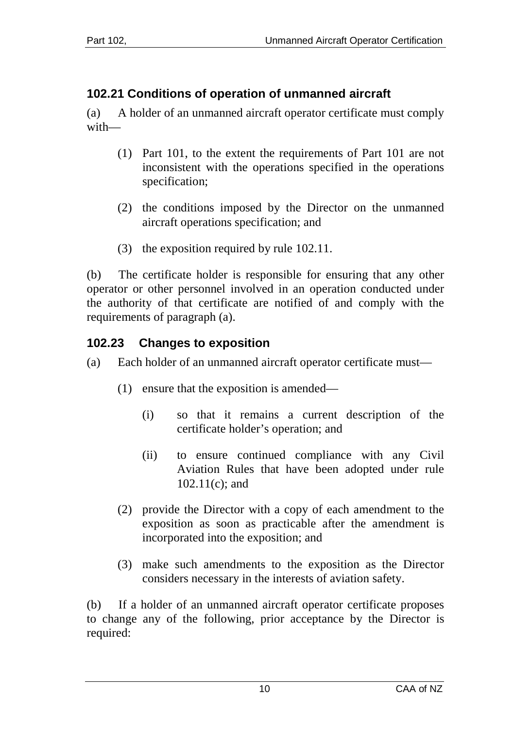## <span id="page-9-0"></span>**102.21 Conditions of operation of unmanned aircraft**

(a) A holder of an unmanned aircraft operator certificate must comply with—

- (1) Part 101, to the extent the requirements of Part 101 are not inconsistent with the operations specified in the operations specification;
- (2) the conditions imposed by the Director on the unmanned aircraft operations specification; and
- (3) the exposition required by rule 102.11.

(b) The certificate holder is responsible for ensuring that any other operator or other personnel involved in an operation conducted under the authority of that certificate are notified of and comply with the requirements of paragraph (a).

### <span id="page-9-1"></span>**102.23 Changes to exposition**

- (a) Each holder of an unmanned aircraft operator certificate must—
	- (1) ensure that the exposition is amended—
		- (i) so that it remains a current description of the certificate holder's operation; and
		- (ii) to ensure continued compliance with any Civil Aviation Rules that have been adopted under rule 102.11(c); and
	- (2) provide the Director with a copy of each amendment to the exposition as soon as practicable after the amendment is incorporated into the exposition; and
	- (3) make such amendments to the exposition as the Director considers necessary in the interests of aviation safety.

(b) If a holder of an unmanned aircraft operator certificate proposes to change any of the following, prior acceptance by the Director is required: